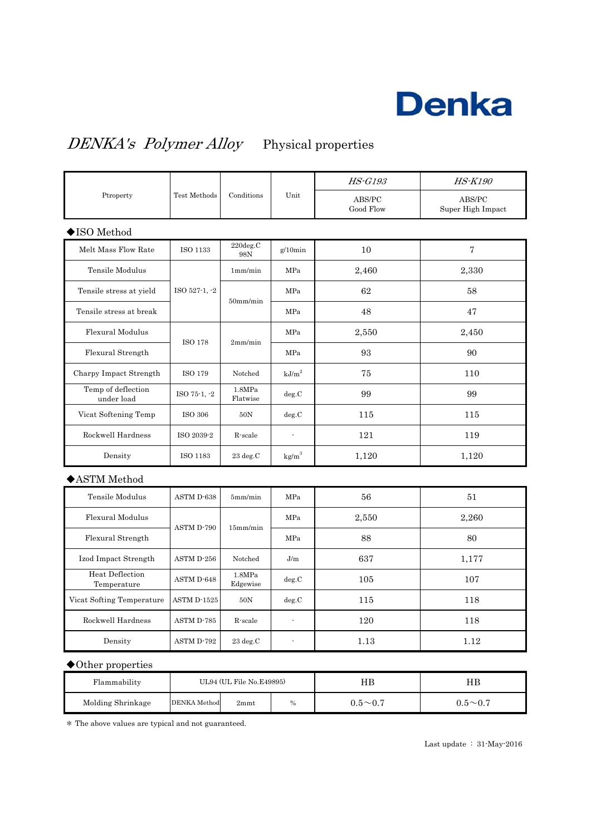

### DENKA's Polymer Alloy Physical properties

| Ptroperty                        | Test Methods   | Conditions         | Unit              | <b>HS-G193</b>      | <b>HS-K190</b>              |
|----------------------------------|----------------|--------------------|-------------------|---------------------|-----------------------------|
|                                  |                |                    |                   | ABS/PC<br>Good Flow | ABS/PC<br>Super High Impact |
| ◆ISO Method                      |                |                    |                   |                     |                             |
| Melt Mass Flow Rate              | $\rm ISO$ 1133 | 220deg.C<br>98N    | $g/10$ min        | 10                  | $\overline{7}$              |
| Tensile Modulus                  | ISO 527-1, -2  | 1mm/min            | MPa               | 2,460               | 2,330                       |
| Tensile stress at yield          |                | $50$ mm/min        | MPa               | 62                  | 58                          |
| Tensile stress at break          |                |                    | MPa               | 48                  | 47                          |
| Flexural Modulus                 | <b>ISO 178</b> | 2mm/min            | MPa               | 2,550               | 2,450                       |
| Flexural Strength                |                |                    | MPa               | 93                  | 90                          |
| Charpy Impact Strength           | ISO 179        | Notched            | $\mathrm{kJ/m}^2$ | 75                  | 110                         |
| Temp of deflection<br>under load | ISO 75-1, -2   | 1.8MPa<br>Flatwise | deg.C             | 99                  | 99                          |
| Vicat Softening Temp             | ISO 306        | 50N                | deg.C             | 115                 | 115                         |
| Rockwell Hardness                | ISO 2039-2     | R-scale            | ÷,                | 121                 | 119                         |
| Density                          | ISO 1183       | $23 \text{ deg.C}$ | $\text{kg/m}^3$   | 1,120               | 1,120                       |
| $\blacklozenge$ ASTM Method      |                |                    |                   |                     |                             |
| Tensile Modulus                  | ASTM D-638     | 5mm/min            | MPa               | 56                  | 51                          |
| Flexural Modulus                 | ASTM D-790     | 15mm/min           | MPa               | 2,550               | 2,260                       |
| Flexural Strength                |                |                    | MPa               | 88                  | 80                          |
| Izod Impact Strength             | ASTM D-256     | Notched            | J/m               | 637                 | 1,177                       |
| Heat Deflection<br>Temperature   | ASTM D-648     | 1.8MPa<br>Edgewise | deg.C             | 105                 | 107                         |
| Vicat Softing Temperature        | ASTM D-1525    | 50N                | deg.C             | 115                 | 118                         |
| Rockwell Hardness                | ASTM D-785     | R-scale            | ÷,                | 120                 | 118                         |
| Density                          | ASTM D-792     | $23 \text{ deg.C}$ | ÷,                | 1.13                | 1.12                        |

#### ◆Other properties

| Flammability      | UL94 (UL File No.E49895) |      |      | HВ                   | ΗB             |
|-------------------|--------------------------|------|------|----------------------|----------------|
| Molding Shrinkage | DENKA Method             | 2mmt | $\%$ | $0.5\!\!\simeq\!0.7$ | $0.5{\sim}0.7$ |

\* The above values are typical and not guaranteed.